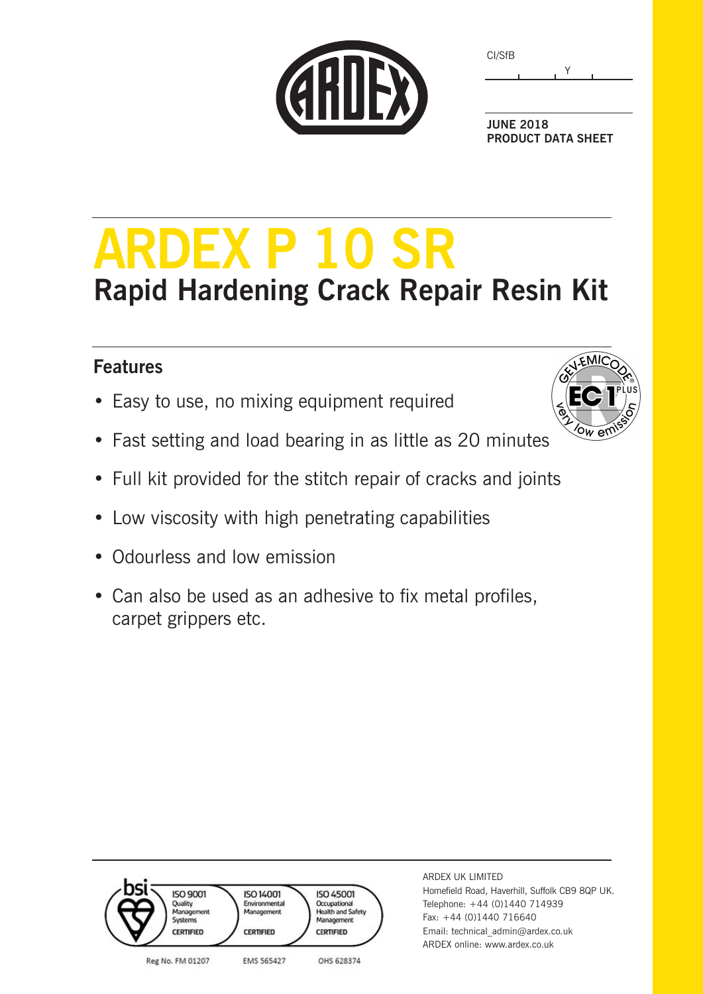|  | CARDEX |
|--|--------|
|  |        |
|  |        |

| CI/SfB |  |
|--------|--|
|        |  |

**JUNE 2018 PRODUCT DATA SHEET**

# **ARDEX P 10 SR Rapid Hardening Crack Repair Resin Kit**

### **Features**

- Easy to use, no mixing equipment required
- Fast setting and load bearing in as little as 20 minutes
- Full kit provided for the stitch repair of cracks and joints
- Low viscosity with high penetrating capabilities
- Odourless and low emission
- Can also be used as an adhesive to fix metal profiles, carpet grippers etc.



| <b>ISO 9001</b><br>Quality<br>Management<br>Systems<br><b>CERTIFIED</b> | <b>ISO 14001</b><br>Environmental<br>Management<br><b>CERTIFIED</b> | <b>ISO 45001</b><br>Occupational<br><b>Health and Safety</b><br>Management<br><b>CERTIFIED</b> |
|-------------------------------------------------------------------------|---------------------------------------------------------------------|------------------------------------------------------------------------------------------------|
| Reg No. FM 01207                                                        | EMS 565427                                                          | OHS 628374                                                                                     |

ARDEX UK LIMITED Homefield Road, Haverhill, Suffolk CB9 8QP UK. Telephone: +44 (0)1440 714939 Fax: +44 (0)1440 716640 Email: technical\_admin@ardex.co.uk ARDEX online: www.ardex.co.uk